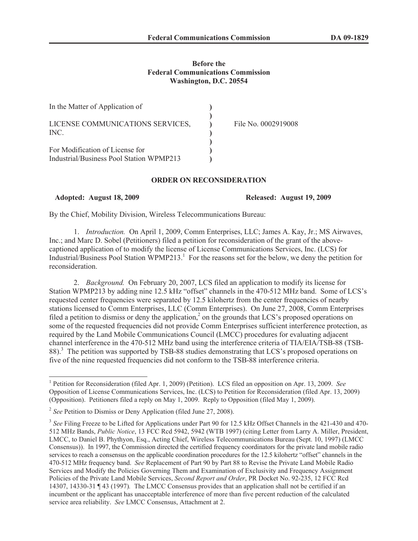## **Before the Federal Communications Commission Washington, D.C. 20554**

| In the Matter of Application of                                             |                     |
|-----------------------------------------------------------------------------|---------------------|
| LICENSE COMMUNICATIONS SERVICES,<br>INC.                                    | File No. 0002919008 |
| For Modification of License for<br>Industrial/Business Pool Station WPMP213 |                     |

## **ORDER ON RECONSIDERATION**

**Adopted: August 18, 2009 Released: August 19, 2009**

By the Chief, Mobility Division, Wireless Telecommunications Bureau:

1. *Introduction.* On April 1, 2009, Comm Enterprises, LLC; James A. Kay, Jr.; MS Airwaves, Inc.; and Marc D. Sobel (Petitioners) filed a petition for reconsideration of the grant of the abovecaptioned application of to modify the license of License Communications Services, Inc. (LCS) for Industrial/Business Pool Station WPMP213.<sup>1</sup> For the reasons set for the below, we deny the petition for reconsideration.

2. *Background.* On February 20, 2007, LCS filed an application to modify its license for Station WPMP213 by adding nine 12.5 kHz "offset" channels in the 470-512 MHz band. Some of LCS's requested center frequencies were separated by 12.5 kilohertz from the center frequencies of nearby stations licensed to Comm Enterprises, LLC (Comm Enterprises). On June 27, 2008, Comm Enterprises filed a petition to dismiss or deny the application,<sup>2</sup> on the grounds that LCS's proposed operations on some of the requested frequencies did not provide Comm Enterprises sufficient interference protection, as required by the Land Mobile Communications Council (LMCC) procedures for evaluating adjacent channel interference in the 470-512 MHz band using the interference criteria of TIA/EIA/TSB-88 (TSB-88).<sup>3</sup> The petition was supported by TSB-88 studies demonstrating that LCS's proposed operations on five of the nine requested frequencies did not conform to the TSB-88 interference criteria.

<sup>1</sup> Petition for Reconsideration (filed Apr. 1, 2009) (Petition). LCS filed an opposition on Apr. 13, 2009. *See*  Opposition of License Communications Services, Inc. (LCS) to Petition for Reconsideration (filed Apr. 13, 2009) (Opposition). Petitioners filed a reply on May 1, 2009. Reply to Opposition (filed May 1, 2009).

<sup>&</sup>lt;sup>2</sup> See Petition to Dismiss or Deny Application (filed June 27, 2008).

<sup>&</sup>lt;sup>3</sup> See Filing Freeze to be Lifted for Applications under Part 90 for 12.5 kHz Offset Channels in the 421-430 and 470-512 MHz Bands, *Public Notice*, 13 FCC Rcd 5942, 5942 (WTB 1997) (citing Letter from Larry A. Miller, President, LMCC, to Daniel B. Phythyon, Esq., Acting Chief, Wireless Telecommunications Bureau (Sept. 10, 1997) (LMCC Consensus)). In 1997, the Commission directed the certified frequency coordinators for the private land mobile radio services to reach a consensus on the applicable coordination procedures for the 12.5 kilohertz "offset" channels in the 470-512 MHz frequency band. *See* Replacement of Part 90 by Part 88 to Revise the Private Land Mobile Radio Services and Modify the Policies Governing Them and Examination of Exclusivity and Frequency Assignment Policies of the Private Land Mobile Services, *Second Report and Order*, PR Docket No. 92-235, 12 FCC Rcd 14307, 14330-31 ¶ 43 (1997)*.* The LMCC Consensus provides that an application shall not be certified if an incumbent or the applicant has unacceptable interference of more than five percent reduction of the calculated service area reliability. *See* LMCC Consensus, Attachment at 2.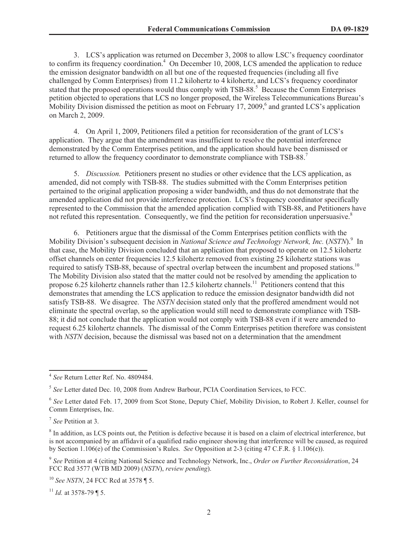3. LCS's application was returned on December 3, 2008 to allow LSC's frequency coordinator to confirm its frequency coordination.<sup>4</sup> On December 10, 2008, LCS amended the application to reduce the emission designator bandwidth on all but one of the requested frequencies (including all five challenged by Comm Enterprises) from 11.2 kilohertz to 4 kilohertz, and LCS's frequency coordinator stated that the proposed operations would thus comply with TSB-88.<sup>5</sup> Because the Comm Enterprises petition objected to operations that LCS no longer proposed, the Wireless Telecommunications Bureau's Mobility Division dismissed the petition as moot on February 17, 2009, $6$  and granted LCS's application on March 2, 2009.

4. On April 1, 2009, Petitioners filed a petition for reconsideration of the grant of LCS's application. They argue that the amendment was insufficient to resolve the potential interference demonstrated by the Comm Enterprises petition, and the application should have been dismissed or returned to allow the frequency coordinator to demonstrate compliance with TSB-88.<sup>7</sup>

5. *Discussion.* Petitioners present no studies or other evidence that the LCS application, as amended, did not comply with TSB-88. The studies submitted with the Comm Enterprises petition pertained to the original application proposing a wider bandwidth, and thus do not demonstrate that the amended application did not provide interference protection. LCS's frequency coordinator specifically represented to the Commission that the amended application complied with TSB-88, and Petitioners have not refuted this representation. Consequently, we find the petition for reconsideration unpersuasive.<sup>8</sup>

6. Petitioners argue that the dismissal of the Comm Enterprises petition conflicts with the Mobility Division's subsequent decision in *National Science and Technology Network, Inc.* (*NSTN*).<sup>9</sup> In that case, the Mobility Division concluded that an application that proposed to operate on 12.5 kilohertz offset channels on center frequencies 12.5 kilohertz removed from existing 25 kilohertz stations was required to satisfy TSB-88, because of spectral overlap between the incumbent and proposed stations.<sup>10</sup> The Mobility Division also stated that the matter could not be resolved by amending the application to propose 6.25 kilohertz channels rather than 12.5 kilohertz channels.<sup>11</sup> Petitioners contend that this demonstrates that amending the LCS application to reduce the emission designator bandwidth did not satisfy TSB-88. We disagree. The *NSTN* decision stated only that the proffered amendment would not eliminate the spectral overlap, so the application would still need to demonstrate compliance with TSB-88; it did not conclude that the application would not comply with TSB-88 even if it were amended to request 6.25 kilohertz channels. The dismissal of the Comm Enterprises petition therefore was consistent with *NSTN* decision, because the dismissal was based not on a determination that the amendment

<sup>4</sup> *See* Return Letter Ref. No. 4809484.

<sup>5</sup> *See* Letter dated Dec. 10, 2008 from Andrew Barbour, PCIA Coordination Services, to FCC.

<sup>6</sup> *See* Letter dated Feb. 17, 2009 from Scot Stone, Deputy Chief, Mobility Division, to Robert J. Keller, counsel for Comm Enterprises, Inc.

<sup>7</sup> *See* Petition at 3.

<sup>&</sup>lt;sup>8</sup> In addition, as LCS points out, the Petition is defective because it is based on a claim of electrical interference, but is not accompanied by an affidavit of a qualified radio engineer showing that interference will be caused, as required by Section 1.106(e) of the Commission's Rules. *See* Opposition at 2-3 (citing 47 C.F.R. § 1.106(e)).

<sup>9</sup> *See* Petition at 4 (citing National Science and Technology Network, Inc., *Order on Further Reconsideration*, 24 FCC Rcd 3577 (WTB MD 2009) (*NSTN*), *review pending*).

<sup>10</sup> *See NSTN*, 24 FCC Rcd at 3578 ¶ 5.

<sup>&</sup>lt;sup>11</sup> *Id.* at 3578-79 ¶ 5.